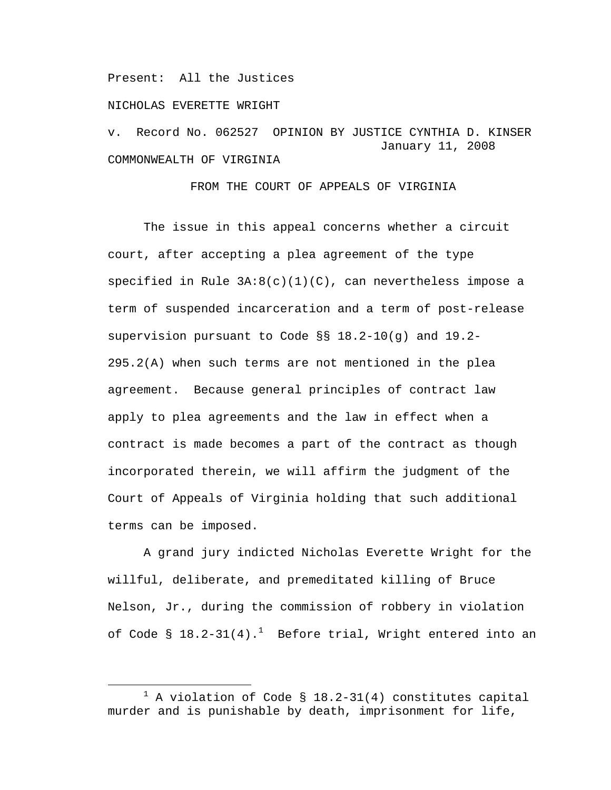Present: All the Justices

NICHOLAS EVERETTE WRIGHT

v. Record No. 062527 OPINION BY JUSTICE CYNTHIA D. KINSER January 11, 2008 COMMONWEALTH OF VIRGINIA

FROM THE COURT OF APPEALS OF VIRGINIA

The issue in this appeal concerns whether a circuit court, after accepting a plea agreement of the type specified in Rule  $3A:8(c)(1)(C)$ , can nevertheless impose a term of suspended incarceration and a term of post-release supervision pursuant to Code §§ 18.2-10(g) and 19.2- 295.2(A) when such terms are not mentioned in the plea agreement. Because general principles of contract law apply to plea agreements and the law in effect when a contract is made becomes a part of the contract as though incorporated therein, we will affirm the judgment of the Court of Appeals of Virginia holding that such additional terms can be imposed.

A grand jury indicted Nicholas Everette Wright for the willful, deliberate, and premeditated killing of Bruce Nelson, Jr., during the commission of robbery in violation of Code §  $18.2$ -31(4). $^1$  Before trial, Wright entered into an

 $\overline{\phantom{a}}$  $^1$  A violation of Code § 18.2-31(4) constitutes capital murder and is punishable by death, imprisonment for life,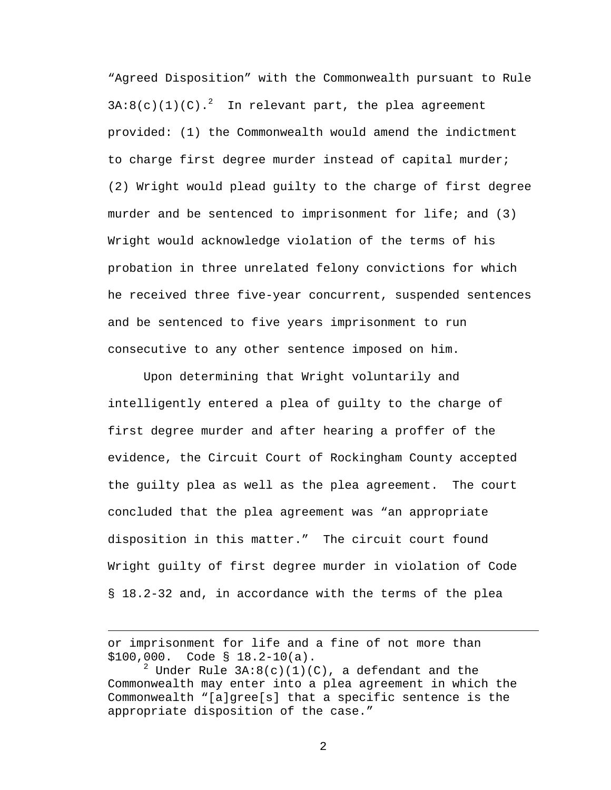"Agreed Disposition" with the Commonwealth pursuant to Rule  $3A:8(c)(1)(C)$ .<sup>2</sup> In relevant part, the plea agreement provided: (1) the Commonwealth would amend the indictment to charge first degree murder instead of capital murder; (2) Wright would plead guilty to the charge of first degree murder and be sentenced to imprisonment for life; and (3) Wright would acknowledge violation of the terms of his probation in three unrelated felony convictions for which he received three five-year concurrent, suspended sentences and be sentenced to five years imprisonment to run consecutive to any other sentence imposed on him.

Upon determining that Wright voluntarily and intelligently entered a plea of guilty to the charge of first degree murder and after hearing a proffer of the evidence, the Circuit Court of Rockingham County accepted the guilty plea as well as the plea agreement. The court concluded that the plea agreement was "an appropriate disposition in this matter." The circuit court found Wright guilty of first degree murder in violation of Code § 18.2-32 and, in accordance with the terms of the plea

i<br>Li

or imprisonment for life and a fine of not more than \$100,000. Code § 18.2-10(a).

 $^2$  Under Rule 3A:8(c)(1)(C), a defendant and the Commonwealth may enter into a plea agreement in which the Commonwealth "[a]gree[s] that a specific sentence is the appropriate disposition of the case."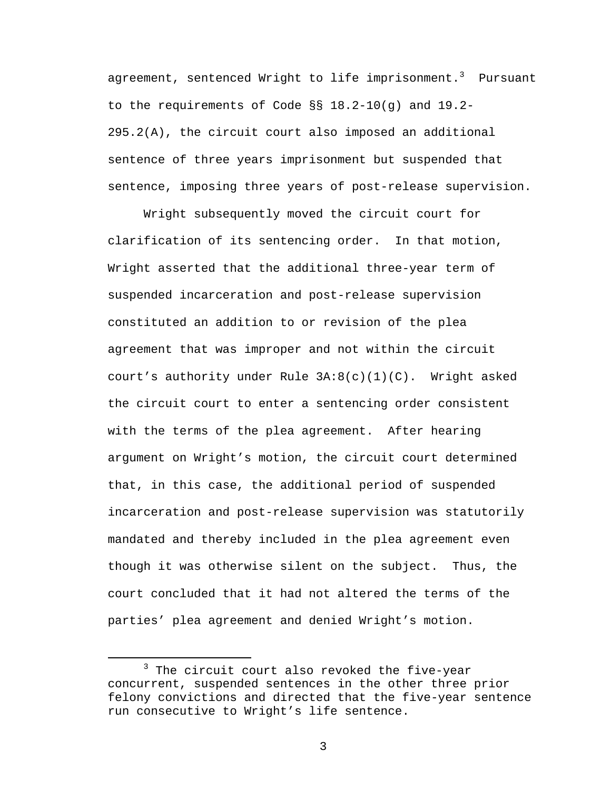agreement, sentenced Wright to life imprisonment. $^3$  Pursuant to the requirements of Code §§ 18.2-10(g) and 19.2- 295.2(A), the circuit court also imposed an additional sentence of three years imprisonment but suspended that sentence, imposing three years of post-release supervision.

Wright subsequently moved the circuit court for clarification of its sentencing order. In that motion, Wright asserted that the additional three-year term of suspended incarceration and post-release supervision constituted an addition to or revision of the plea agreement that was improper and not within the circuit court's authority under Rule  $3A:8(c)(1)(C)$ . Wright asked the circuit court to enter a sentencing order consistent with the terms of the plea agreement. After hearing argument on Wright's motion, the circuit court determined that, in this case, the additional period of suspended incarceration and post-release supervision was statutorily mandated and thereby included in the plea agreement even though it was otherwise silent on the subject. Thus, the court concluded that it had not altered the terms of the parties' plea agreement and denied Wright's motion.

 $\overline{\phantom{a}}$  3  $3$  The circuit court also revoked the five-year concurrent, suspended sentences in the other three prior felony convictions and directed that the five-year sentence run consecutive to Wright's life sentence.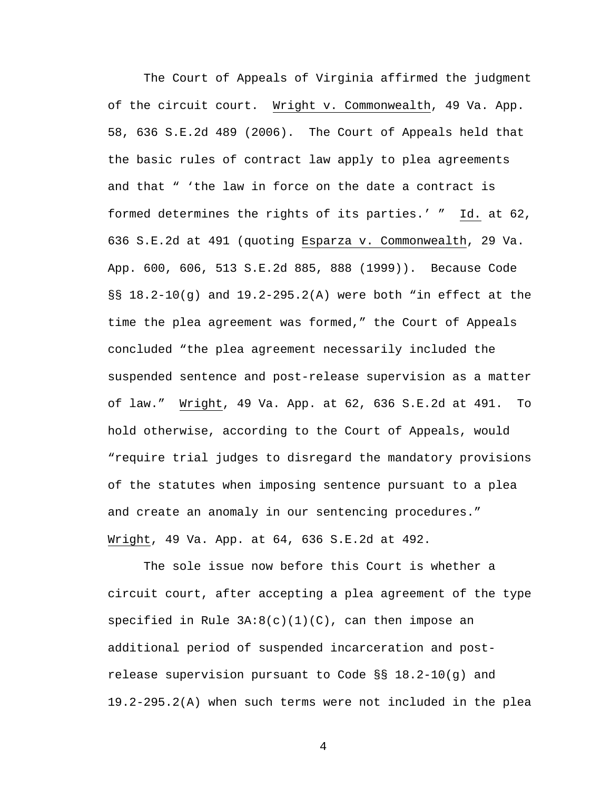The Court of Appeals of Virginia affirmed the judgment of the circuit court. Wright v. Commonwealth, 49 Va. App. 58, 636 S.E.2d 489 (2006). The Court of Appeals held that the basic rules of contract law apply to plea agreements and that " 'the law in force on the date a contract is formed determines the rights of its parties.' " Id. at 62, 636 S.E.2d at 491 (quoting Esparza v. Commonwealth, 29 Va. App. 600, 606, 513 S.E.2d 885, 888 (1999)). Because Code §§ 18.2-10(g) and 19.2-295.2(A) were both "in effect at the time the plea agreement was formed," the Court of Appeals concluded "the plea agreement necessarily included the suspended sentence and post-release supervision as a matter of law." Wright, 49 Va. App. at 62, 636 S.E.2d at 491. To hold otherwise, according to the Court of Appeals, would "require trial judges to disregard the mandatory provisions of the statutes when imposing sentence pursuant to a plea and create an anomaly in our sentencing procedures." Wright, 49 Va. App. at 64, 636 S.E.2d at 492.

The sole issue now before this Court is whether a circuit court, after accepting a plea agreement of the type specified in Rule  $3A:8(c)(1)(C)$ , can then impose an additional period of suspended incarceration and postrelease supervision pursuant to Code §§ 18.2-10(g) and 19.2-295.2(A) when such terms were not included in the plea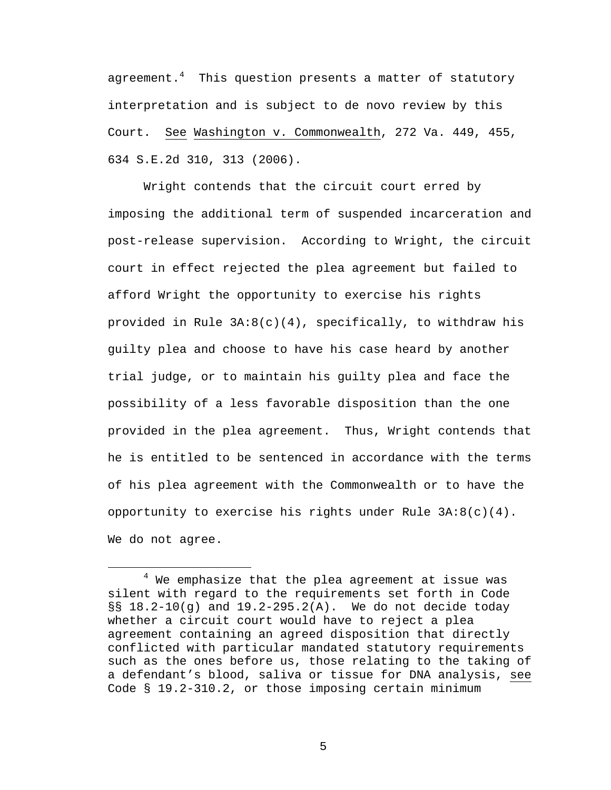agreement.<sup>4</sup> This question presents a matter of statutory interpretation and is subject to de novo review by this Court. See Washington v. Commonwealth, 272 Va. 449, 455, 634 S.E.2d 310, 313 (2006).

Wright contends that the circuit court erred by imposing the additional term of suspended incarceration and post-release supervision. According to Wright, the circuit court in effect rejected the plea agreement but failed to afford Wright the opportunity to exercise his rights provided in Rule  $3A:8(c)(4)$ , specifically, to withdraw his guilty plea and choose to have his case heard by another trial judge, or to maintain his guilty plea and face the possibility of a less favorable disposition than the one provided in the plea agreement. Thus, Wright contends that he is entitled to be sentenced in accordance with the terms of his plea agreement with the Commonwealth or to have the opportunity to exercise his rights under Rule  $3A:8(c)(4)$ . We do not agree.

 $\overline{4}$  $4$  We emphasize that the plea agreement at issue was silent with regard to the requirements set forth in Code  $\S$ § 18.2-10(g) and 19.2-295.2(A). We do not decide today whether a circuit court would have to reject a plea agreement containing an agreed disposition that directly conflicted with particular mandated statutory requirements such as the ones before us, those relating to the taking of a defendant's blood, saliva or tissue for DNA analysis, see Code § 19.2-310.2, or those imposing certain minimum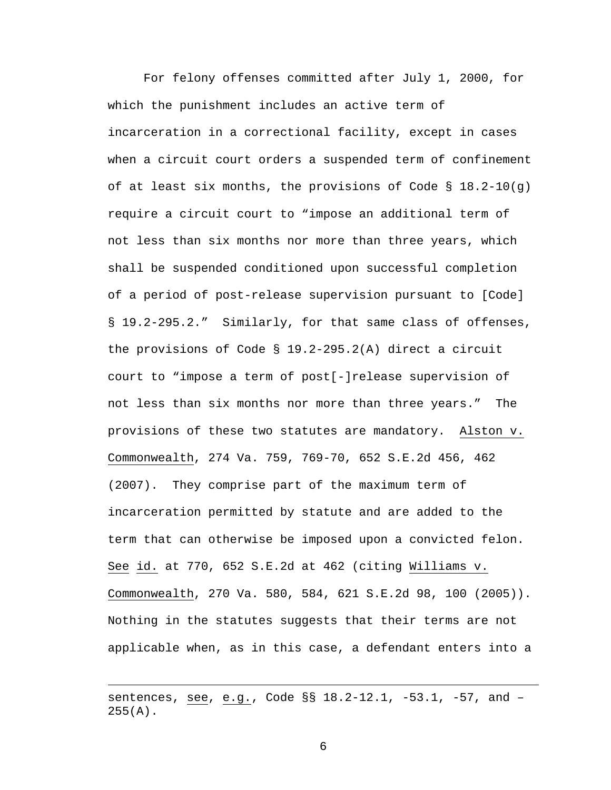For felony offenses committed after July 1, 2000, for which the punishment includes an active term of incarceration in a correctional facility, except in cases when a circuit court orders a suspended term of confinement of at least six months, the provisions of Code § 18.2-10(q) require a circuit court to "impose an additional term of not less than six months nor more than three years, which shall be suspended conditioned upon successful completion of a period of post-release supervision pursuant to [Code] § 19.2-295.2." Similarly, for that same class of offenses, the provisions of Code § 19.2-295.2(A) direct a circuit court to "impose a term of post[-]release supervision of not less than six months nor more than three years." The provisions of these two statutes are mandatory. Alston v. Commonwealth, 274 Va. 759, 769-70, 652 S.E.2d 456, 462 (2007). They comprise part of the maximum term of incarceration permitted by statute and are added to the term that can otherwise be imposed upon a convicted felon. See id. at 770, 652 S.E.2d at 462 (citing Williams v. Commonwealth, 270 Va. 580, 584, 621 S.E.2d 98, 100 (2005)). Nothing in the statutes suggests that their terms are not applicable when, as in this case, a defendant enters into a

i<br>Li

sentences, see, e.g., Code §§ 18.2-12.1, -53.1, -57, and –  $255(A)$ .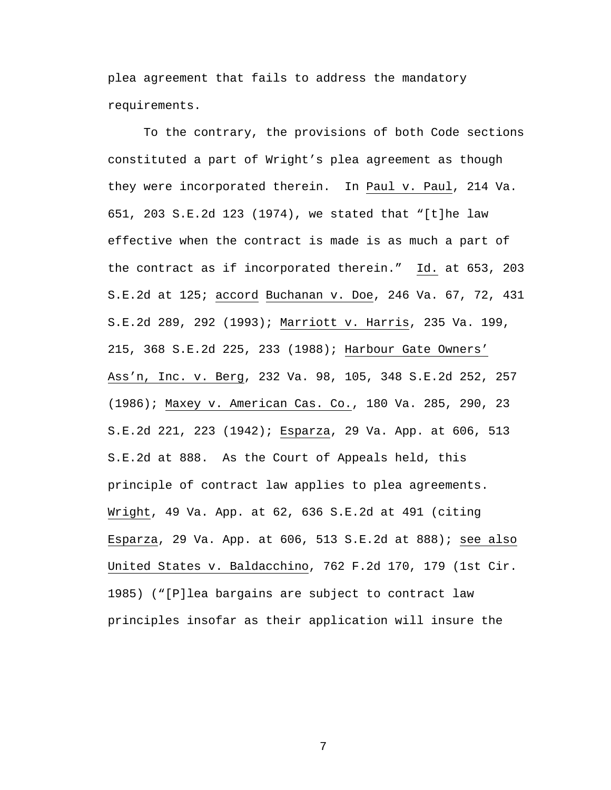plea agreement that fails to address the mandatory requirements.

To the contrary, the provisions of both Code sections constituted a part of Wright's plea agreement as though they were incorporated therein. In Paul v. Paul, 214 Va. 651, 203 S.E.2d 123 (1974), we stated that "[t]he law effective when the contract is made is as much a part of the contract as if incorporated therein." Id. at 653, 203 S.E.2d at 125; accord Buchanan v. Doe, 246 Va. 67, 72, 431 S.E.2d 289, 292 (1993); Marriott v. Harris, 235 Va. 199, 215, 368 S.E.2d 225, 233 (1988); Harbour Gate Owners' Ass'n, Inc. v. Berg, 232 Va. 98, 105, 348 S.E.2d 252, 257 (1986); Maxey v. American Cas. Co., 180 Va. 285, 290, 23 S.E.2d 221, 223 (1942); Esparza, 29 Va. App. at 606, 513 S.E.2d at 888. As the Court of Appeals held, this principle of contract law applies to plea agreements. Wright, 49 Va. App. at 62, 636 S.E.2d at 491 (citing Esparza, 29 Va. App. at 606, 513 S.E.2d at 888); see also United States v. Baldacchino, 762 F.2d 170, 179 (1st Cir. 1985) ("[P]lea bargains are subject to contract law principles insofar as their application will insure the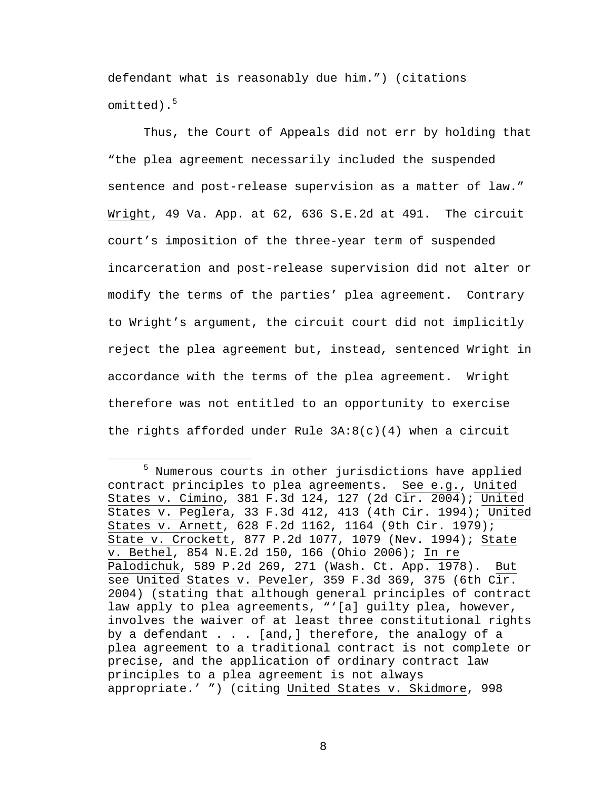defendant what is reasonably due him.") (citations omitted).<sup>5</sup>

Thus, the Court of Appeals did not err by holding that "the plea agreement necessarily included the suspended sentence and post-release supervision as a matter of law." Wright, 49 Va. App. at 62, 636 S.E.2d at 491. The circuit court's imposition of the three-year term of suspended incarceration and post-release supervision did not alter or modify the terms of the parties' plea agreement. Contrary to Wright's argument, the circuit court did not implicitly reject the plea agreement but, instead, sentenced Wright in accordance with the terms of the plea agreement. Wright therefore was not entitled to an opportunity to exercise the rights afforded under Rule  $3A:8(c)(4)$  when a circuit

 $\frac{1}{5}$ <sup>5</sup> Numerous courts in other jurisdictions have applied contract principles to plea agreements. See e.g., United States v. Cimino, 381 F.3d 124, 127 (2d Cir. 2004); United States v. Peglera, 33 F.3d 412, 413 (4th Cir. 1994); United States v. Arnett, 628 F.2d 1162, 1164 (9th Cir. 1979); State v. Crockett, 877 P.2d 1077, 1079 (Nev. 1994); State v. Bethel, 854 N.E.2d 150, 166 (Ohio 2006); In re Palodichuk, 589 P.2d 269, 271 (Wash. Ct. App. 1978). But see United States v. Peveler, 359 F.3d 369, 375 (6th  $\overline{\text{cir.}}$ 2004) (stating that although general principles of contract law apply to plea agreements, "'[a] guilty plea, however, involves the waiver of at least three constitutional rights by a defendant . . . [and,] therefore, the analogy of a plea agreement to a traditional contract is not complete or precise, and the application of ordinary contract law principles to a plea agreement is not always appropriate.' ") (citing United States v. Skidmore, 998